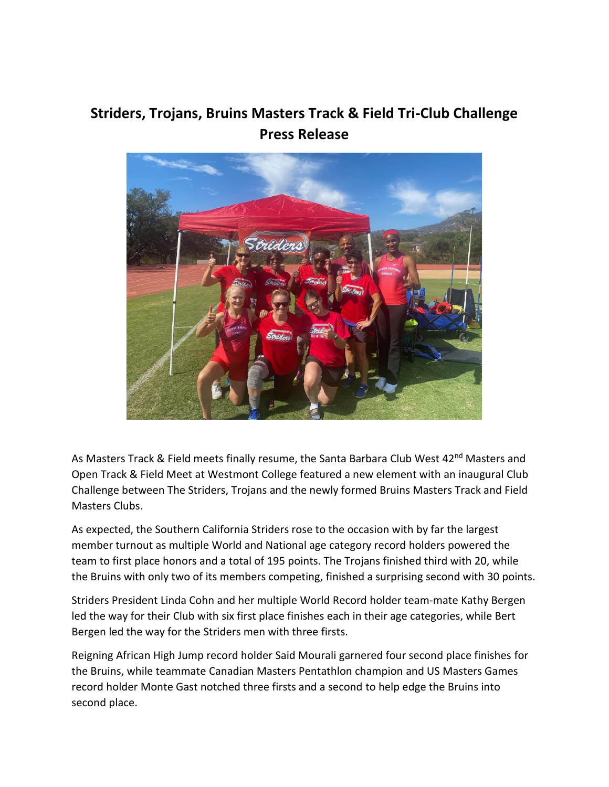## **Striders, Trojans, Bruins Masters Track & Field Tri-Club Challenge Press Release**



As Masters Track & Field meets finally resume, the Santa Barbara Club West 42<sup>nd</sup> Masters and Open Track & Field Meet at Westmont College featured a new element with an inaugural Club Challenge between The Striders, Trojans and the newly formed Bruins Masters Track and Field Masters Clubs.

As expected, the Southern California Striders rose to the occasion with by far the largest member turnout as multiple World and National age category record holders powered the team to first place honors and a total of 195 points. The Trojans finished third with 20, while the Bruins with only two of its members competing, finished a surprising second with 30 points.

Striders President Linda Cohn and her multiple World Record holder team-mate Kathy Bergen led the way for their Club with six first place finishes each in their age categories, while Bert Bergen led the way for the Striders men with three firsts.

Reigning African High Jump record holder Said Mourali garnered four second place finishes for the Bruins, while teammate Canadian Masters Pentathlon champion and US Masters Games record holder Monte Gast notched three firsts and a second to help edge the Bruins into second place.